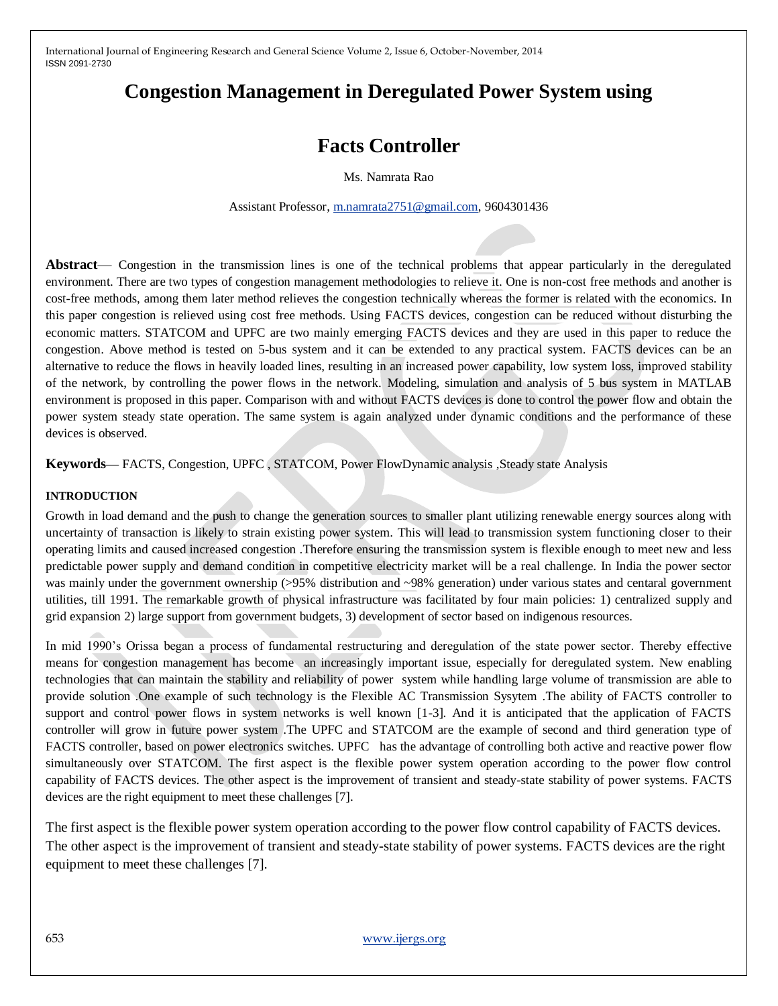# **Congestion Management in Deregulated Power System using**

# **Facts Controller**

Ms. Namrata Rao

Assistant Professor, [m.namrata2751@gmail.com,](mailto:m.namrata2751@gmail.com) 9604301436

**Abstract**— Congestion in the transmission lines is one of the technical problems that appear particularly in the deregulated environment. There are two types of congestion management methodologies to relieve it. One is non-cost free methods and another is cost-free methods, among them later method relieves the congestion technically whereas the former is related with the economics. In this paper congestion is relieved using cost free methods. Using FACTS devices, congestion can be reduced without disturbing the economic matters. STATCOM and UPFC are two mainly emerging FACTS devices and they are used in this paper to reduce the congestion. Above method is tested on 5-bus system and it can be extended to any practical system. FACTS devices can be an alternative to reduce the flows in heavily loaded lines, resulting in an increased power capability, low system loss, improved stability of the network, by controlling the power flows in the network. Modeling, simulation and analysis of 5 bus system in MATLAB environment is proposed in this paper. Comparison with and without FACTS devices is done to control the power flow and obtain the power system steady state operation. The same system is again analyzed under dynamic conditions and the performance of these devices is observed.

**Keywords—** FACTS, Congestion, UPFC , STATCOM, Power FlowDynamic analysis ,Steady state Analysis

#### **INTRODUCTION**

Growth in load demand and the push to change the generation sources to smaller plant utilizing renewable energy sources along with uncertainty of transaction is likely to strain existing power system. This will lead to transmission system functioning closer to their operating limits and caused increased congestion .Therefore ensuring the transmission system is flexible enough to meet new and less predictable power supply and demand condition in competitive electricity market will be a real challenge. In India the power sector was mainly under the government ownership (>95% distribution and ~98% generation) under various states and centaral government utilities, till 1991. The remarkable growth of physical infrastructure was facilitated by four main policies: 1) centralized supply and grid expansion 2) large support from government budgets, 3) development of sector based on indigenous resources.

In mid 1990's Orissa began a process of fundamental restructuring and deregulation of the state power sector. Thereby effective means for congestion management has become an increasingly important issue, especially for deregulated system. New enabling technologies that can maintain the stability and reliability of power system while handling large volume of transmission are able to provide solution .One example of such technology is the Flexible AC Transmission Sysytem .The ability of FACTS controller to support and control power flows in system networks is well known [1-3]. And it is anticipated that the application of FACTS controller will grow in future power system .The UPFC and STATCOM are the example of second and third generation type of FACTS controller, based on power electronics switches. UPFC has the advantage of controlling both active and reactive power flow simultaneously over STATCOM. The first aspect is the flexible power system operation according to the power flow control capability of FACTS devices. The other aspect is the improvement of transient and steady-state stability of power systems. FACTS devices are the right equipment to meet these challenges [7].

The first aspect is the flexible power system operation according to the power flow control capability of FACTS devices. The other aspect is the improvement of transient and steady-state stability of power systems. FACTS devices are the right equipment to meet these challenges [7].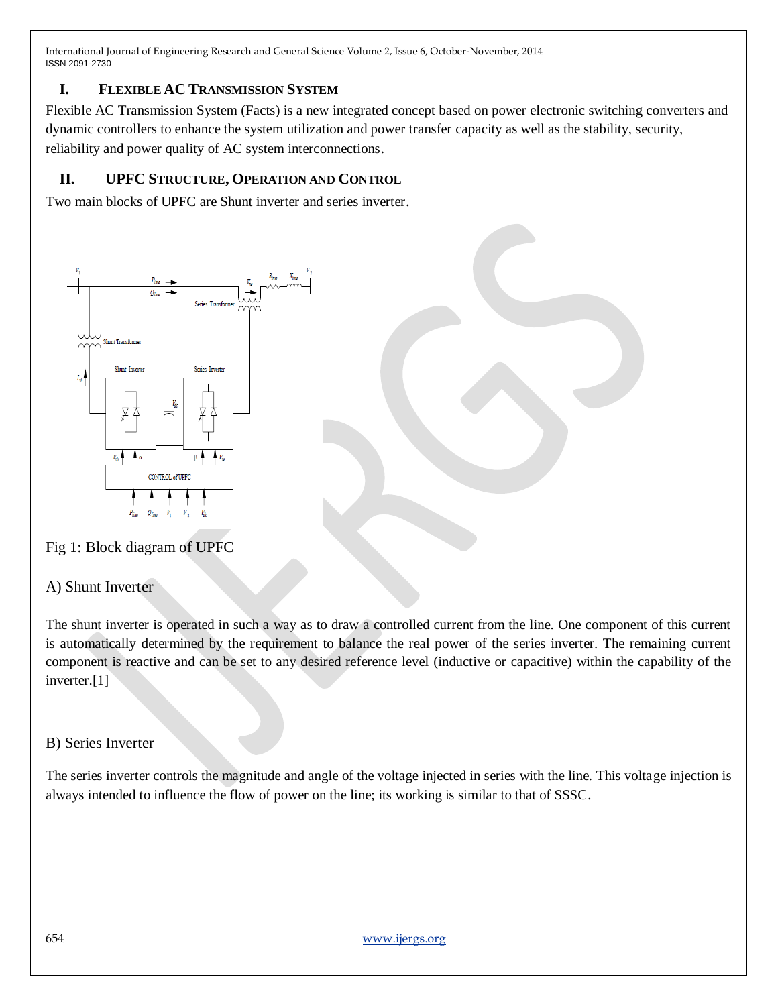### **I. FLEXIBLE AC TRANSMISSION SYSTEM**

Flexible AC Transmission System (Facts) is a new integrated concept based on power electronic switching converters and dynamic controllers to enhance the system utilization and power transfer capacity as well as the stability, security, reliability and power quality of AC system interconnections.

### **II. UPFC STRUCTURE, OPERATION AND CONTROL**

Two main blocks of UPFC are Shunt inverter and series inverter.



# Fig 1: Block diagram of UPFC

## A) Shunt Inverter

The shunt inverter is operated in such a way as to draw a controlled current from the line. One component of this current is automatically determined by the requirement to balance the real power of the series inverter. The remaining current component is reactive and can be set to any desired reference level (inductive or capacitive) within the capability of the inverter.[1]

## B) Series Inverter

The series inverter controls the magnitude and angle of the voltage injected in series with the line. This voltage injection is always intended to influence the flow of power on the line; its working is similar to that of SSSC.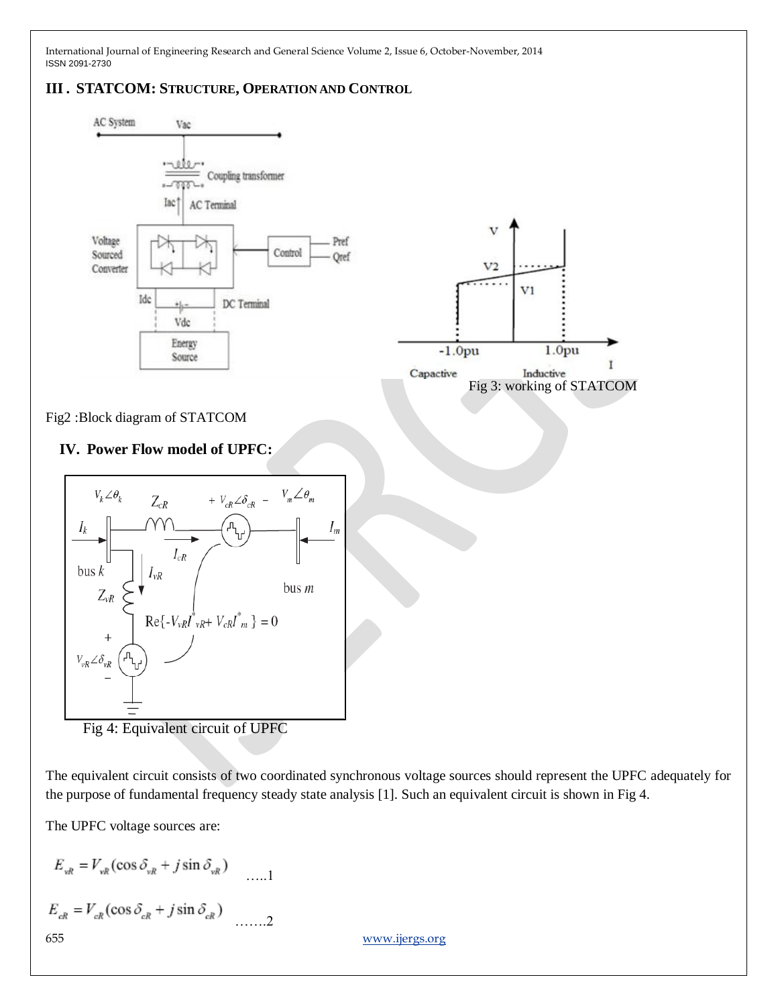### **III. STATCOM: STRUCTURE, OPERATION AND CONTROL**



Fig 4: Equivalent circuit of UPFC

The equivalent circuit consists of two coordinated synchronous voltage sources should represent the UPFC adequately for the purpose of fundamental frequency steady state analysis [1]. Such an equivalent circuit is shown in Fig 4.

The UPFC voltage sources are:

$$
E_{vR} = V_{vR} (\cos \delta_{vR} + j \sin \delta_{vR})
$$
  
\n
$$
E_{cR} = V_{cR} (\cos \delta_{cR} + j \sin \delta_{cR})
$$
  
\n
$$
...
$$
  
\n
$$
...
$$
  
\n
$$
...
$$
  
\n
$$
...
$$
  
\n
$$
... 2
$$
  
\n
$$
... 2
$$
  
\n
$$
... 2
$$
  
\n
$$
... 2
$$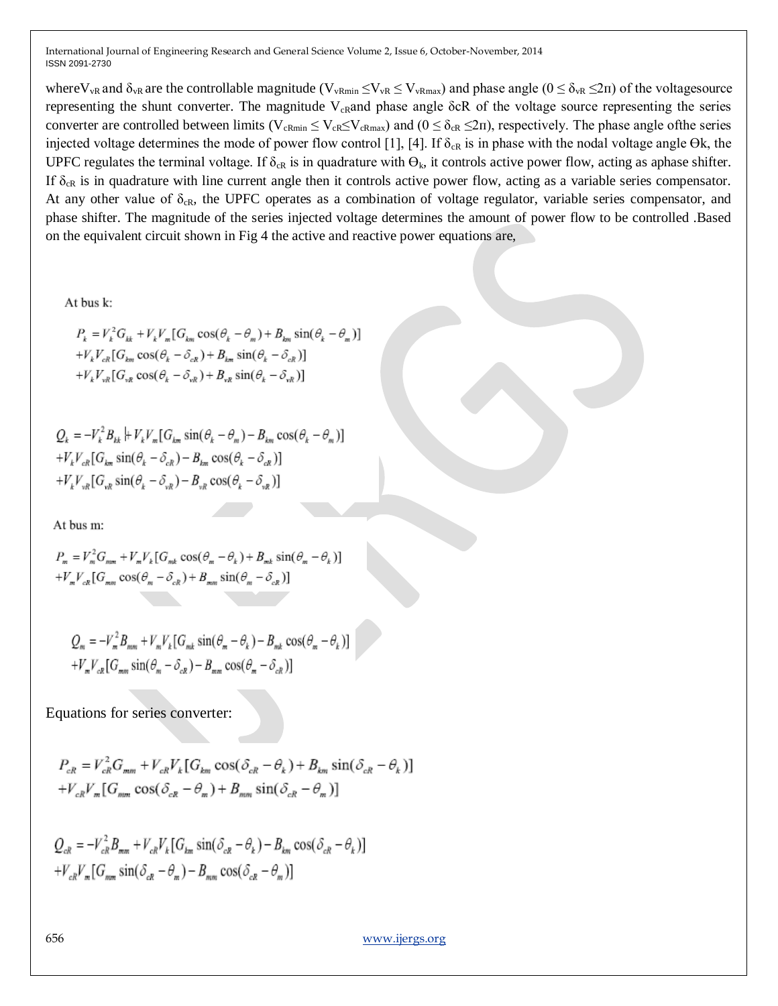where V<sub>vR</sub> and  $\delta_{vR}$  are the controllable magnitude (V<sub>vRmin</sub>  $\leq$ V<sub>vR</sub>  $\leq$  V<sub>vRmax</sub>) and phase angle ( $0 \leq \delta_{vR} \leq 2\pi$ ) of the voltagesource representing the shunt converter. The magnitude  $V_{cR}$ and phase angle δcR of the voltage source representing the series converter are controlled between limits ( $V_{cRmin} \le V_{cR} \le V_{cRmax}$ ) and ( $0 \le \delta_{cR} \le 2\pi$ ), respectively. The phase angle ofthe series injected voltage determines the mode of power flow control [1], [4]. If  $\delta_{\rm cR}$  is in phase with the nodal voltage angle Ok, the UPFC regulates the terminal voltage. If  $\delta_{\rm cR}$  is in quadrature with  $\Theta_{\rm k}$ , it controls active power flow, acting as aphase shifter. If  $\delta_{cR}$  is in quadrature with line current angle then it controls active power flow, acting as a variable series compensator. At any other value of  $\delta_{CR}$ , the UPFC operates as a combination of voltage regulator, variable series compensator, and phase shifter. The magnitude of the series injected voltage determines the amount of power flow to be controlled .Based on the equivalent circuit shown in Fig 4 the active and reactive power equations are,

At bus k:

$$
P_k = V_k^2 G_{kk} + V_k V_m [G_{km} \cos(\theta_k - \theta_m) + B_{km} \sin(\theta_k - \theta_m)]
$$
  
+
$$
V_k V_{ck} [G_{km} \cos(\theta_k - \delta_{ck}) + B_{km} \sin(\theta_k - \delta_{ck})]
$$
  
+
$$
V_k V_{vk} [G_{vk} \cos(\theta_k - \delta_{vk}) + B_{vk} \sin(\theta_k - \delta_{vk})]
$$

$$
Q_k = -V_k^2 B_{kk} + V_k V_m [G_{km} \sin(\theta_k - \theta_m) - B_{km} \cos(\theta_k - \theta_m)]
$$
  
+
$$
V_k V_{ck} [G_{km} \sin(\theta_k - \delta_{ck}) - B_{km} \cos(\theta_k - \delta_{ck})]
$$
  
+
$$
V_k V_{wk} [G_{wk} \sin(\theta_k - \delta_{vk}) - B_{vk} \cos(\theta_k - \delta_{vk})]
$$

At bus m:

$$
P_m = V_m^2 G_{mm} + V_m V_k [G_{mk} \cos(\theta_m - \theta_k) + B_{mk} \sin(\theta_m - \theta_k)]
$$
  
+
$$
V_m V_{ck} [G_{mm} \cos(\theta_m - \delta_{ck}) + B_{mm} \sin(\theta_m - \delta_{ck})]
$$

$$
Q_m = -V_m^2 B_{mm} + V_m V_k [G_{mk} \sin(\theta_m - \theta_k) - B_{mk} \cos(\theta_m - \theta_k)]
$$
  
+
$$
V_m V_{ck} [G_{mm} \sin(\theta_m - \delta_{ck}) - B_{mm} \cos(\theta_m - \delta_{ck})]
$$

Equations for series converter:

$$
P_{cR} = V_{ck}^2 G_{mm} + V_{ck} V_k [G_{km} \cos(\delta_{ck} - \theta_k) + B_{km} \sin(\delta_{ck} - \theta_k)]
$$
  
+
$$
V_{ck} V_m [G_{mm} \cos(\delta_{ck} - \theta_m) + B_{mm} \sin(\delta_{ck} - \theta_m)]
$$

 $Q_{n} = -V_{n}^{2}B_{nm} + V_{n}V_{k}[G_{km}\sin(\delta_{n} - \theta_{k}) - B_{km}\cos(\delta_{n} - \theta_{k})]$  $+V_{cR}V_{m} [G_{mm} \sin(\delta_{cR} - \theta_{m}) - B_{mm} \cos(\delta_{cR} - \theta_{m})]$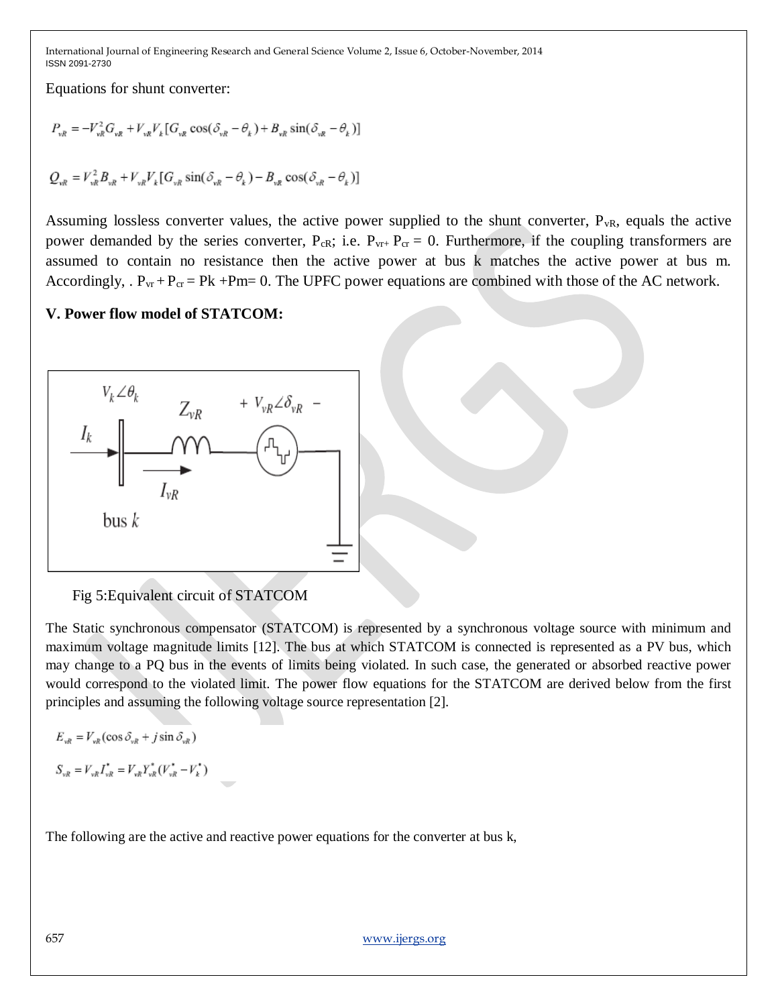Equations for shunt converter:

$$
P_{vR} = -V_{vR}^2 G_{vR} + V_{vR} V_k [G_{vR} \cos(\delta_{vR} - \theta_k) + B_{vR} \sin(\delta_{vR} - \theta_k)]
$$
  

$$
Q_{vR} = V_{vR}^2 B_{vR} + V_{vR} V_k [G_{vR} \sin(\delta_{vR} - \theta_k) - B_{vR} \cos(\delta_{vR} - \theta_k)]
$$

Assuming lossless converter values, the active power supplied to the shunt converter,  $P_{vR}$ , equals the active power demanded by the series converter,  $P_{CR}$ ; i.e.  $P_{vr+} P_{cr} = 0$ . Furthermore, if the coupling transformers are assumed to contain no resistance then the active power at bus k matches the active power at bus m. Accordingly,  $P_{vr} + P_{cr} = Pk + Pm = 0$ . The UPFC power equations are combined with those of the AC network.

#### **V. Power flow model of STATCOM:**



Fig 5:Equivalent circuit of STATCOM

The Static synchronous compensator (STATCOM) is represented by a synchronous voltage source with minimum and maximum voltage magnitude limits [12]. The bus at which STATCOM is connected is represented as a PV bus, which may change to a PQ bus in the events of limits being violated. In such case, the generated or absorbed reactive power would correspond to the violated limit. The power flow equations for the STATCOM are derived below from the first principles and assuming the following voltage source representation [2].

$$
E_{vR} = V_{vR} (\cos \delta_{vR} + j \sin \delta_{vR})
$$

$$
S_{vR} = V_{vR} I_{vR}^* = V_{vR} Y_{vR}^* (V_{vR}^* - V_k^*)
$$

The following are the active and reactive power equations for the converter at bus k,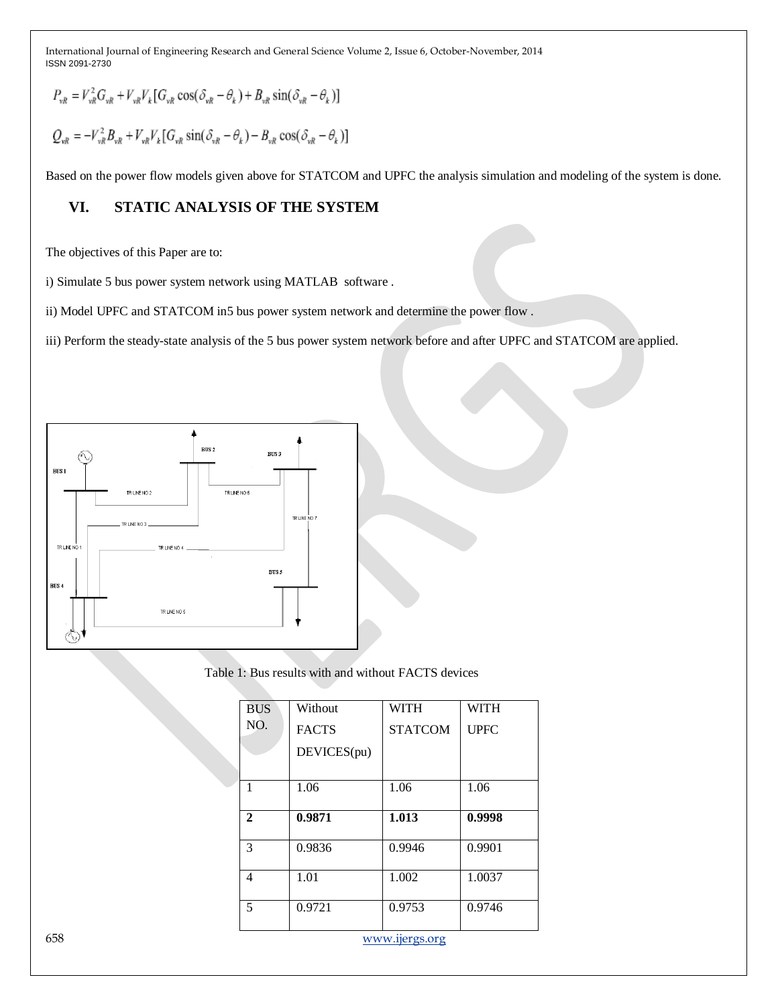$$
P_{vR} = V_{vR}^2 G_{vR} + V_{vR} V_k [G_{vR} \cos(\delta_{vR} - \theta_k) + B_{vR} \sin(\delta_{vR} - \theta_k)]
$$

$$
Q_{\nu R} = -V_{\nu R}^2 B_{\nu R} + V_{\nu R} V_k [G_{\nu R} \sin(\delta_{\nu R} - \theta_k) - B_{\nu R} \cos(\delta_{\nu R} - \theta_k)]
$$

Based on the power flow models given above for STATCOM and UPFC the analysis simulation and modeling of the system is done.

### **VI. STATIC ANALYSIS OF THE SYSTEM**

The objectives of this Paper are to:

i) Simulate 5 bus power system network using MATLAB software .

ii) Model UPFC and STATCOM in5 bus power system network and determine the power flow .

iii) Perform the steady-state analysis of the 5 bus power system network before and after UPFC and STATCOM are applied.



Table 1: Bus results with and without FACTS devices

|     | <b>BUS</b>     | Without      | <b>WITH</b>    | <b>WITH</b> |
|-----|----------------|--------------|----------------|-------------|
|     | NO.            | <b>FACTS</b> | <b>STATCOM</b> | <b>UPFC</b> |
|     |                | DEVICES(pu)  |                |             |
|     |                |              |                |             |
|     | $\mathbf{1}$   | 1.06         | 1.06           | 1.06        |
|     |                |              |                |             |
|     | $\mathbf{2}$   | 0.9871       | 1.013          | 0.9998      |
|     | 3              | 0.9836       | 0.9946         | 0.9901      |
|     | $\overline{4}$ | 1.01         | 1.002          | 1.0037      |
|     | 5              | 0.9721       | 0.9753         | 0.9746      |
| 658 | www.ijergs.org |              |                |             |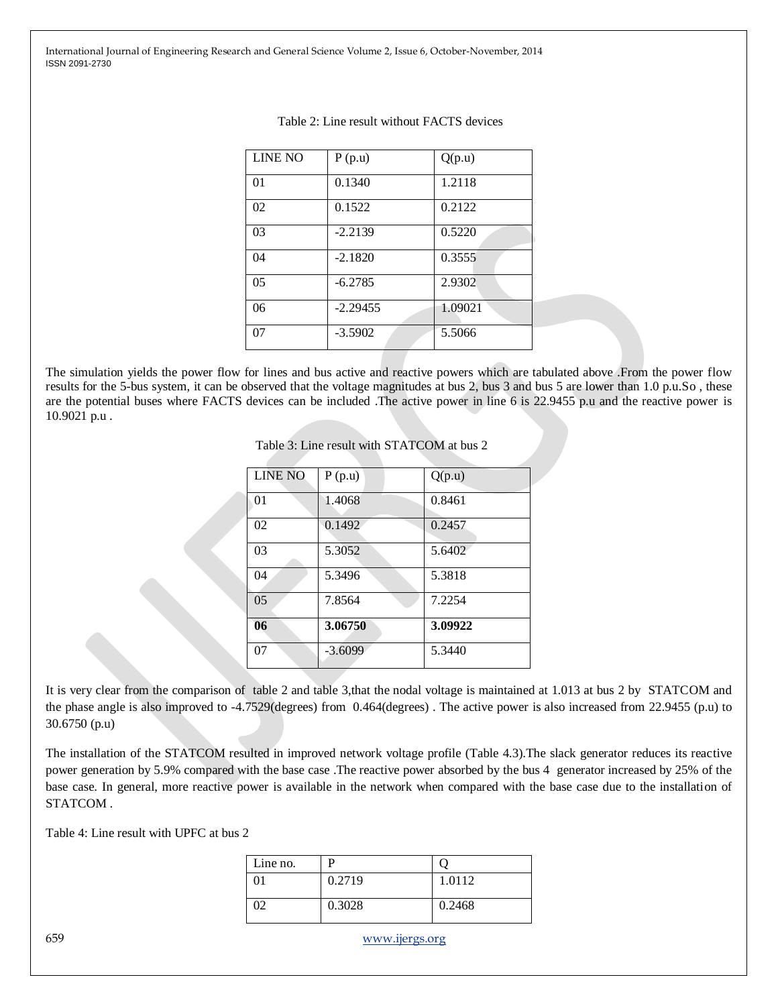| <b>LINE NO</b> | P(p.u)     | Q(p.u)  |
|----------------|------------|---------|
| 01             | 0.1340     | 1.2118  |
| 02             | 0.1522     | 0.2122  |
| 03             | $-2.2139$  | 0.5220  |
| 04             | $-2.1820$  | 0.3555  |
| 05             | $-6.2785$  | 2.9302  |
| 06             | $-2.29455$ | 1.09021 |
| 07             | $-3.5902$  | 5.5066  |

The simulation yields the power flow for lines and bus active and reactive powers which are tabulated above .From the power flow results for the 5-bus system, it can be observed that the voltage magnitudes at bus 2, bus 3 and bus 5 are lower than 1.0 p.u.So , these are the potential buses where FACTS devices can be included .The active power in line 6 is 22.9455 p.u and the reactive power is 10.9021 p.u .

Table 3: Line result with STATCOM at bus 2

| <b>LINE NO</b> | P(p.u)    | Q(p.u)  |
|----------------|-----------|---------|
| 01             | 1.4068    | 0.8461  |
| 02             | 0.1492    | 0.2457  |
| 03             | 5.3052    | 5.6402  |
| 04             | 5.3496    | 5.3818  |
| 05             | 7.8564    | 7.2254  |
| 06             | 3.06750   | 3.09922 |
| 07             | $-3.6099$ | 5.3440  |

It is very clear from the comparison of table 2 and table 3,that the nodal voltage is maintained at 1.013 at bus 2 by STATCOM and the phase angle is also improved to -4.7529(degrees) from 0.464(degrees) . The active power is also increased from 22.9455 (p.u) to 30.6750 (p.u)

The installation of the STATCOM resulted in improved network voltage profile (Table 4.3).The slack generator reduces its reactive power generation by 5.9% compared with the base case .The reactive power absorbed by the bus 4 generator increased by 25% of the base case. In general, more reactive power is available in the network when compared with the base case due to the installation of STATCOM .

Table 4: Line result with UPFC at bus 2

| Line no. | D      |        |
|----------|--------|--------|
|          | 0.2719 | 1.0112 |
|          | 0.3028 | 0.2468 |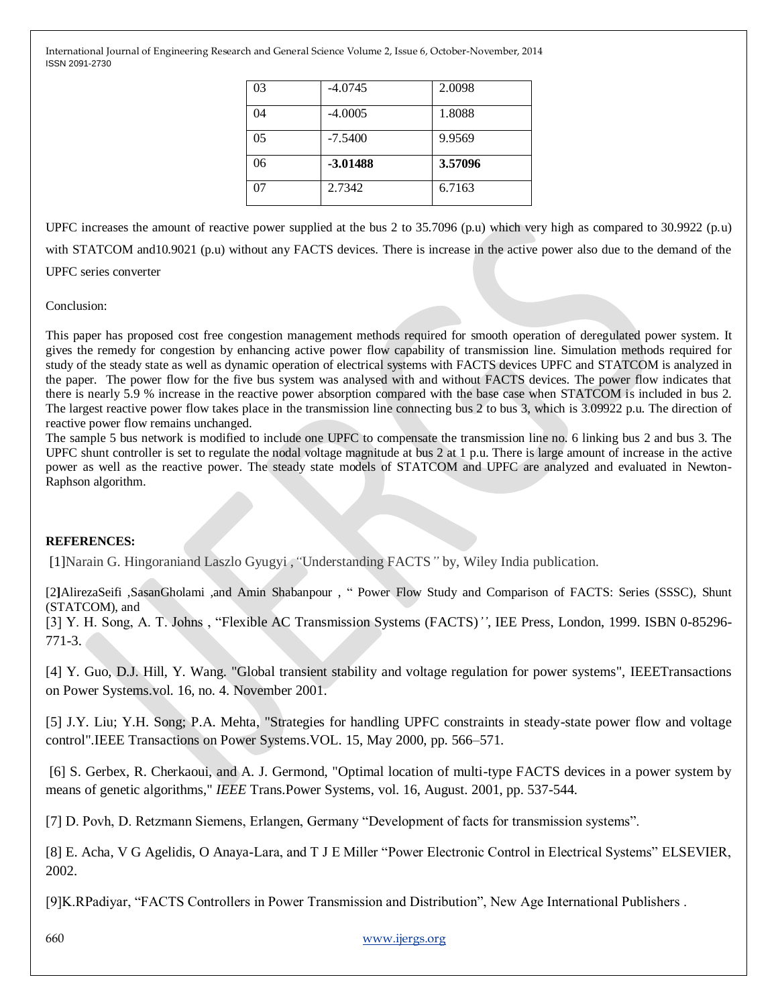| 03 | $-4.0745$  | 2.0098  |
|----|------------|---------|
| 04 | $-4.0005$  | 1.8088  |
| 05 | $-7.5400$  | 9.9569  |
| 06 | $-3.01488$ | 3.57096 |
| 07 | 2.7342     | 6.7163  |

UPFC increases the amount of reactive power supplied at the bus 2 to 35.7096 (p.u) which very high as compared to 30.9922 (p.u) with STATCOM and 10.9021 (p.u) without any FACTS devices. There is increase in the active power also due to the demand of the UPFC series converter

#### Conclusion:

This paper has proposed cost free congestion management methods required for smooth operation of deregulated power system. It gives the remedy for congestion by enhancing active power flow capability of transmission line. Simulation methods required for study of the steady state as well as dynamic operation of electrical systems with FACTS devices UPFC and STATCOM is analyzed in the paper. The power flow for the five bus system was analysed with and without FACTS devices. The power flow indicates that there is nearly 5.9 % increase in the reactive power absorption compared with the base case when STATCOM is included in bus 2. The largest reactive power flow takes place in the transmission line connecting bus 2 to bus 3, which is 3.09922 p.u. The direction of reactive power flow remains unchanged.

The sample 5 bus network is modified to include one UPFC to compensate the transmission line no. 6 linking bus 2 and bus 3. The UPFC shunt controller is set to regulate the nodal voltage magnitude at bus 2 at 1 p.u. There is large amount of increase in the active power as well as the reactive power. The steady state models of STATCOM and UPFC are analyzed and evaluated in Newton-Raphson algorithm.

#### **REFERENCES:**

[1]Narain G. Hingoraniand Laszlo Gyugyi ,*"*Understanding FACTS*"* by, Wiley India publication.

[2]AlirezaSeifi ,SasanGholami ,and Amin Shabanpour , " Power Flow Study and Comparison of FACTS: Series (SSSC), Shunt (STATCOM), and

[3] Y. H. Song, A. T. Johns, "Flexible AC Transmission Systems (FACTS)<sup>'</sup>', IEE Press, London, 1999. ISBN 0-85296-771-3.

[4] Y. Guo, D.J. Hill, Y. Wang. "Global transient stability and voltage regulation for power systems", IEEETransactions on Power Systems.vol. 16, no. 4. November 2001.

[5] J.Y. Liu; Y.H. Song; P.A. Mehta, "Strategies for handling UPFC constraints in steady-state power flow and voltage control".IEEE Transactions on Power Systems.VOL. 15, May 2000, pp. 566–571.

[6] S. Gerbex, R. Cherkaoui, and A. J. Germond, "Optimal location of multi-type FACTS devices in a power system by means of genetic algorithms," *IEEE* Trans.Power Systems, vol. 16, August. 2001, pp. 537-544.

[7] D. Povh, D. Retzmann Siemens, Erlangen, Germany "Development of facts for transmission systems".

[8] E. Acha, V G Agelidis, O Anaya-Lara, and T J E Miller "Power Electronic Control in Electrical Systems" ELSEVIER, 2002.

[9]K.RPadiyar, "FACTS Controllers in Power Transmission and Distribution", New Age International Publishers .